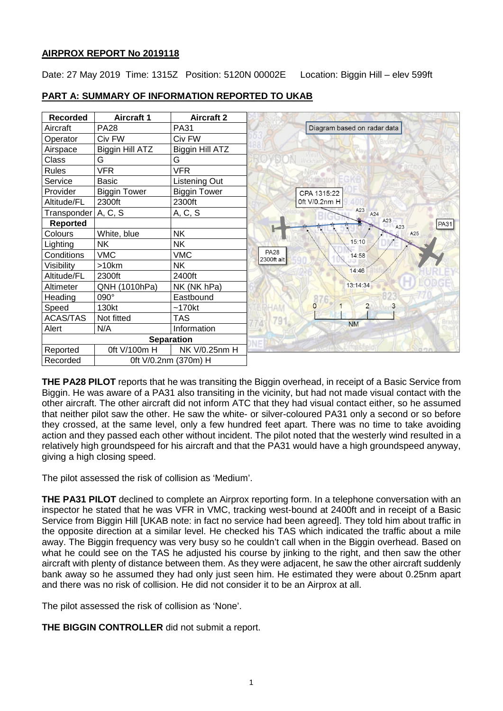## **AIRPROX REPORT No 2019118**

Date: 27 May 2019 Time: 1315Z Position: 5120N 00002E Location: Biggin Hill - elev 599ft



## **PART A: SUMMARY OF INFORMATION REPORTED TO UKAB**

**THE PA28 PILOT** reports that he was transiting the Biggin overhead, in receipt of a Basic Service from Biggin. He was aware of a PA31 also transiting in the vicinity, but had not made visual contact with the other aircraft. The other aircraft did not inform ATC that they had visual contact either, so he assumed that neither pilot saw the other. He saw the white- or silver-coloured PA31 only a second or so before they crossed, at the same level, only a few hundred feet apart. There was no time to take avoiding action and they passed each other without incident. The pilot noted that the westerly wind resulted in a relatively high groundspeed for his aircraft and that the PA31 would have a high groundspeed anyway, giving a high closing speed.

The pilot assessed the risk of collision as 'Medium'.

**THE PA31 PILOT** declined to complete an Airprox reporting form. In a telephone conversation with an inspector he stated that he was VFR in VMC, tracking west-bound at 2400ft and in receipt of a Basic Service from Biggin Hill [UKAB note: in fact no service had been agreed]. They told him about traffic in the opposite direction at a similar level. He checked his TAS which indicated the traffic about a mile away. The Biggin frequency was very busy so he couldn't call when in the Biggin overhead. Based on what he could see on the TAS he adjusted his course by jinking to the right, and then saw the other aircraft with plenty of distance between them. As they were adjacent, he saw the other aircraft suddenly bank away so he assumed they had only just seen him. He estimated they were about 0.25nm apart and there was no risk of collision. He did not consider it to be an Airprox at all.

The pilot assessed the risk of collision as 'None'.

**THE BIGGIN CONTROLLER** did not submit a report.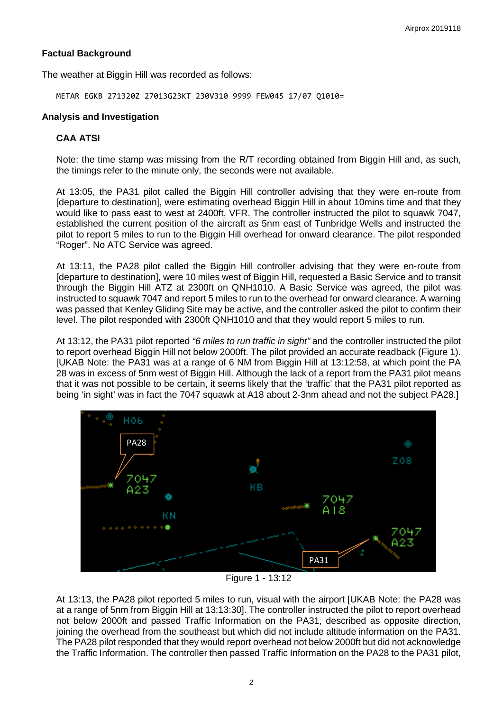## **Factual Background**

The weather at Biggin Hill was recorded as follows:

METAR EGKB 271320Z 27013G23KT 230V310 9999 FEW045 17/07 Q1010=

## **Analysis and Investigation**

# **CAA ATSI**

Note: the time stamp was missing from the R/T recording obtained from Biggin Hill and, as such, the timings refer to the minute only, the seconds were not available.

At 13:05, the PA31 pilot called the Biggin Hill controller advising that they were en-route from [departure to destination], were estimating overhead Biggin Hill in about 10mins time and that they would like to pass east to west at 2400ft, VFR. The controller instructed the pilot to squawk 7047, established the current position of the aircraft as 5nm east of Tunbridge Wells and instructed the pilot to report 5 miles to run to the Biggin Hill overhead for onward clearance. The pilot responded "Roger". No ATC Service was agreed.

At 13:11, the PA28 pilot called the Biggin Hill controller advising that they were en-route from [departure to destination], were 10 miles west of Biggin Hill, requested a Basic Service and to transit through the Biggin Hill ATZ at 2300ft on QNH1010. A Basic Service was agreed, the pilot was instructed to squawk 7047 and report 5 miles to run to the overhead for onward clearance. A warning was passed that Kenley Gliding Site may be active, and the controller asked the pilot to confirm their level. The pilot responded with 2300ft QNH1010 and that they would report 5 miles to run.

At 13:12, the PA31 pilot reported *"6 miles to run traffic in sight"* and the controller instructed the pilot to report overhead Biggin Hill not below 2000ft. The pilot provided an accurate readback (Figure 1). [UKAB Note: the PA31 was at a range of 6 NM from Biggin Hill at 13:12:58, at which point the PA 28 was in excess of 5nm west of Biggin Hill. Although the lack of a report from the PA31 pilot means that it was not possible to be certain, it seems likely that the 'traffic' that the PA31 pilot reported as being 'in sight' was in fact the 7047 squawk at A18 about 2-3nm ahead and not the subject PA28.]



Figure 1 - 13:12

At 13:13, the PA28 pilot reported 5 miles to run, visual with the airport [UKAB Note: the PA28 was at a range of 5nm from Biggin Hill at 13:13:30]. The controller instructed the pilot to report overhead not below 2000ft and passed Traffic Information on the PA31, described as opposite direction, joining the overhead from the southeast but which did not include altitude information on the PA31. The PA28 pilot responded that they would report overhead not below 2000ft but did not acknowledge the Traffic Information. The controller then passed Traffic Information on the PA28 to the PA31 pilot,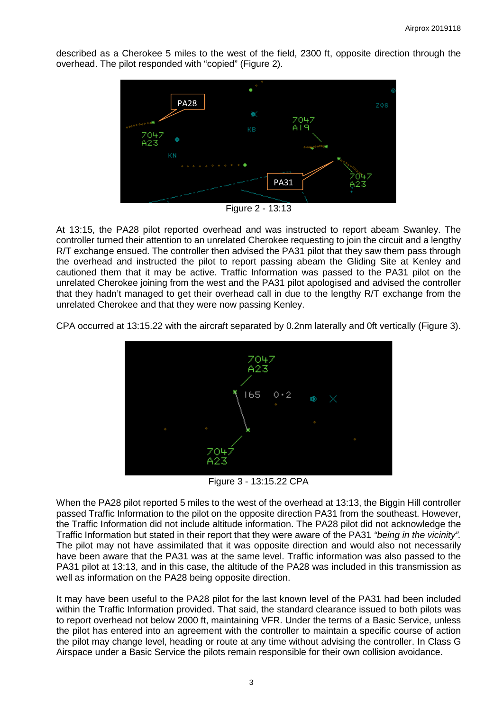described as a Cherokee 5 miles to the west of the field, 2300 ft, opposite direction through the overhead. The pilot responded with "copied" (Figure 2).



Figure 2 - 13:13

At 13:15, the PA28 pilot reported overhead and was instructed to report abeam Swanley. The controller turned their attention to an unrelated Cherokee requesting to join the circuit and a lengthy R/T exchange ensued. The controller then advised the PA31 pilot that they saw them pass through the overhead and instructed the pilot to report passing abeam the Gliding Site at Kenley and cautioned them that it may be active. Traffic Information was passed to the PA31 pilot on the unrelated Cherokee joining from the west and the PA31 pilot apologised and advised the controller that they hadn't managed to get their overhead call in due to the lengthy R/T exchange from the unrelated Cherokee and that they were now passing Kenley.

> 7047 A23 165  $0 - 2$

CPA occurred at 13:15.22 with the aircraft separated by 0.2nm laterally and 0ft vertically (Figure 3).

Figure 3 - 13:15.22 CPA

When the PA28 pilot reported 5 miles to the west of the overhead at 13:13, the Biggin Hill controller passed Traffic Information to the pilot on the opposite direction PA31 from the southeast. However, the Traffic Information did not include altitude information. The PA28 pilot did not acknowledge the Traffic Information but stated in their report that they were aware of the PA31 *"being in the vicinity".* The pilot may not have assimilated that it was opposite direction and would also not necessarily have been aware that the PA31 was at the same level. Traffic information was also passed to the PA31 pilot at 13:13, and in this case, the altitude of the PA28 was included in this transmission as well as information on the PA28 being opposite direction.

It may have been useful to the PA28 pilot for the last known level of the PA31 had been included within the Traffic Information provided. That said, the standard clearance issued to both pilots was to report overhead not below 2000 ft, maintaining VFR. Under the terms of a Basic Service, unless the pilot has entered into an agreement with the controller to maintain a specific course of action the pilot may change level, heading or route at any time without advising the controller. In Class G Airspace under a Basic Service the pilots remain responsible for their own collision avoidance.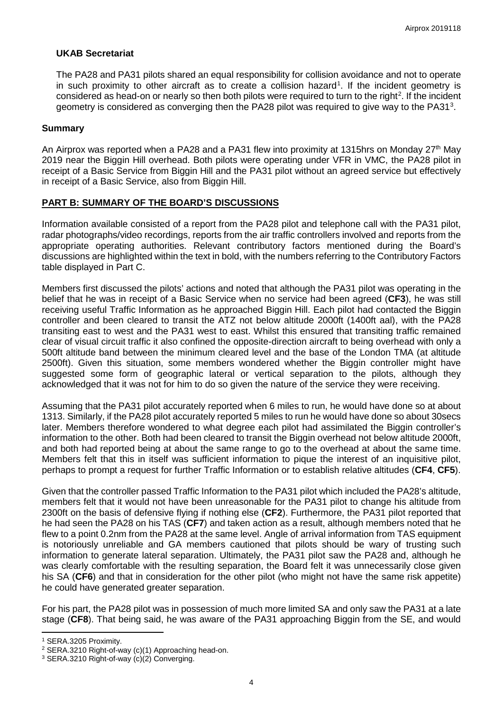### **UKAB Secretariat**

The PA28 and PA31 pilots shared an equal responsibility for collision avoidance and not to operate in such proximity to other aircraft as to create a collision hazard<sup>[1](#page-3-0)</sup>. If the incident geometry is considered as head-on or nearly so then both pilots were required to turn to the right<sup>[2](#page-3-1)</sup>. If the incident geometry is considered as converging then the PA28 pilot was required to give way to the PA[3](#page-3-2)1<sup>3</sup>.

#### **Summary**

An Airprox was reported when a PA28 and a PA31 flew into proximity at 1315hrs on Monday 27<sup>th</sup> May 2019 near the Biggin Hill overhead. Both pilots were operating under VFR in VMC, the PA28 pilot in receipt of a Basic Service from Biggin Hill and the PA31 pilot without an agreed service but effectively in receipt of a Basic Service, also from Biggin Hill.

### **PART B: SUMMARY OF THE BOARD'S DISCUSSIONS**

Information available consisted of a report from the PA28 pilot and telephone call with the PA31 pilot, radar photographs/video recordings, reports from the air traffic controllers involved and reports from the appropriate operating authorities. Relevant contributory factors mentioned during the Board's discussions are highlighted within the text in bold, with the numbers referring to the Contributory Factors table displayed in Part C.

Members first discussed the pilots' actions and noted that although the PA31 pilot was operating in the belief that he was in receipt of a Basic Service when no service had been agreed (**CF3**), he was still receiving useful Traffic Information as he approached Biggin Hill. Each pilot had contacted the Biggin controller and been cleared to transit the ATZ not below altitude 2000ft (1400ft aal), with the PA28 transiting east to west and the PA31 west to east. Whilst this ensured that transiting traffic remained clear of visual circuit traffic it also confined the opposite-direction aircraft to being overhead with only a 500ft altitude band between the minimum cleared level and the base of the London TMA (at altitude 2500ft). Given this situation, some members wondered whether the Biggin controller might have suggested some form of geographic lateral or vertical separation to the pilots, although they acknowledged that it was not for him to do so given the nature of the service they were receiving.

Assuming that the PA31 pilot accurately reported when 6 miles to run, he would have done so at about 1313. Similarly, if the PA28 pilot accurately reported 5 miles to run he would have done so about 30secs later. Members therefore wondered to what degree each pilot had assimilated the Biggin controller's information to the other. Both had been cleared to transit the Biggin overhead not below altitude 2000ft, and both had reported being at about the same range to go to the overhead at about the same time. Members felt that this in itself was sufficient information to pique the interest of an inquisitive pilot, perhaps to prompt a request for further Traffic Information or to establish relative altitudes (**CF4**, **CF5**).

Given that the controller passed Traffic Information to the PA31 pilot which included the PA28's altitude, members felt that it would not have been unreasonable for the PA31 pilot to change his altitude from 2300ft on the basis of defensive flying if nothing else (**CF2**). Furthermore, the PA31 pilot reported that he had seen the PA28 on his TAS (**CF7**) and taken action as a result, although members noted that he flew to a point 0.2nm from the PA28 at the same level. Angle of arrival information from TAS equipment is notoriously unreliable and GA members cautioned that pilots should be wary of trusting such information to generate lateral separation. Ultimately, the PA31 pilot saw the PA28 and, although he was clearly comfortable with the resulting separation, the Board felt it was unnecessarily close given his SA (**CF6**) and that in consideration for the other pilot (who might not have the same risk appetite) he could have generated greater separation.

For his part, the PA28 pilot was in possession of much more limited SA and only saw the PA31 at a late stage (**CF8**). That being said, he was aware of the PA31 approaching Biggin from the SE, and would

l

<span id="page-3-0"></span><sup>1</sup> SERA.3205 Proximity.

<span id="page-3-1"></span><sup>2</sup> SERA.3210 Right-of-way (c)(1) Approaching head-on.

<span id="page-3-2"></span><sup>3</sup> SERA.3210 Right-of-way (c)(2) Converging.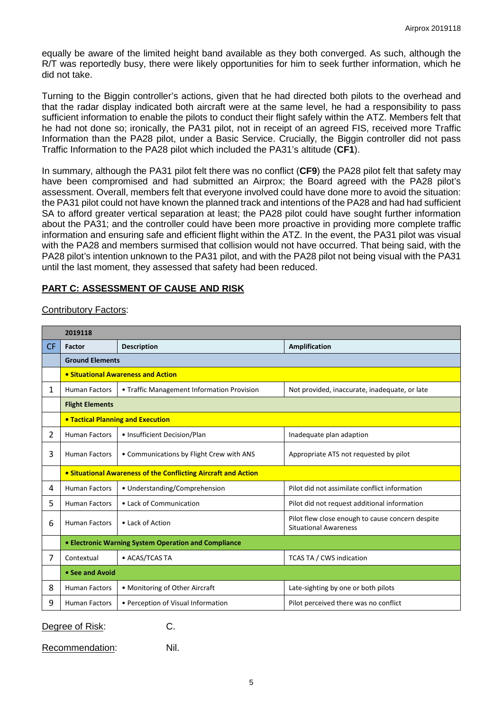equally be aware of the limited height band available as they both converged. As such, although the R/T was reportedly busy, there were likely opportunities for him to seek further information, which he did not take.

Turning to the Biggin controller's actions, given that he had directed both pilots to the overhead and that the radar display indicated both aircraft were at the same level, he had a responsibility to pass sufficient information to enable the pilots to conduct their flight safely within the ATZ. Members felt that he had not done so; ironically, the PA31 pilot, not in receipt of an agreed FIS, received more Traffic Information than the PA28 pilot, under a Basic Service. Crucially, the Biggin controller did not pass Traffic Information to the PA28 pilot which included the PA31's altitude (**CF1**).

In summary, although the PA31 pilot felt there was no conflict (**CF9**) the PA28 pilot felt that safety may have been compromised and had submitted an Airprox; the Board agreed with the PA28 pilot's assessment. Overall, members felt that everyone involved could have done more to avoid the situation: the PA31 pilot could not have known the planned track and intentions of the PA28 and had had sufficient SA to afford greater vertical separation at least; the PA28 pilot could have sought further information about the PA31; and the controller could have been more proactive in providing more complete traffic information and ensuring safe and efficient flight within the ATZ. In the event, the PA31 pilot was visual with the PA28 and members surmised that collision would not have occurred. That being said, with the PA28 pilot's intention unknown to the PA31 pilot, and with the PA28 pilot not being visual with the PA31 until the last moment, they assessed that safety had been reduced.

#### **PART C: ASSESSMENT OF CAUSE AND RISK**

#### Contributory Factors:

|           | 2019118                                                        |                                            |                                                                                  |  |
|-----------|----------------------------------------------------------------|--------------------------------------------|----------------------------------------------------------------------------------|--|
| <b>CF</b> | Factor                                                         | <b>Description</b>                         | <b>Amplification</b>                                                             |  |
|           | <b>Ground Elements</b>                                         |                                            |                                                                                  |  |
|           | • Situational Awareness and Action                             |                                            |                                                                                  |  |
| 1         | <b>Human Factors</b>                                           | • Traffic Management Information Provision | Not provided, inaccurate, inadequate, or late                                    |  |
|           | <b>Flight Elements</b>                                         |                                            |                                                                                  |  |
|           | <b>• Tactical Planning and Execution</b>                       |                                            |                                                                                  |  |
| 2         | <b>Human Factors</b>                                           | • Insufficient Decision/Plan               | Inadequate plan adaption                                                         |  |
| 3         | <b>Human Factors</b>                                           | • Communications by Flight Crew with ANS   | Appropriate ATS not requested by pilot                                           |  |
|           | • Situational Awareness of the Conflicting Aircraft and Action |                                            |                                                                                  |  |
| 4         | <b>Human Factors</b>                                           | • Understanding/Comprehension              | Pilot did not assimilate conflict information                                    |  |
| 5         | <b>Human Factors</b>                                           | • Lack of Communication                    | Pilot did not request additional information                                     |  |
| 6         | <b>Human Factors</b>                                           | • Lack of Action                           | Pilot flew close enough to cause concern despite<br><b>Situational Awareness</b> |  |
|           | • Electronic Warning System Operation and Compliance           |                                            |                                                                                  |  |
| 7         | Contextual                                                     | • ACAS/TCAS TA                             | <b>TCAS TA / CWS indication</b>                                                  |  |
|           | • See and Avoid                                                |                                            |                                                                                  |  |
| 8         | <b>Human Factors</b>                                           | • Monitoring of Other Aircraft             | Late-sighting by one or both pilots                                              |  |
| 9         | <b>Human Factors</b>                                           | • Perception of Visual Information         | Pilot perceived there was no conflict                                            |  |

Degree of Risk: C.

Recommendation: Nil.